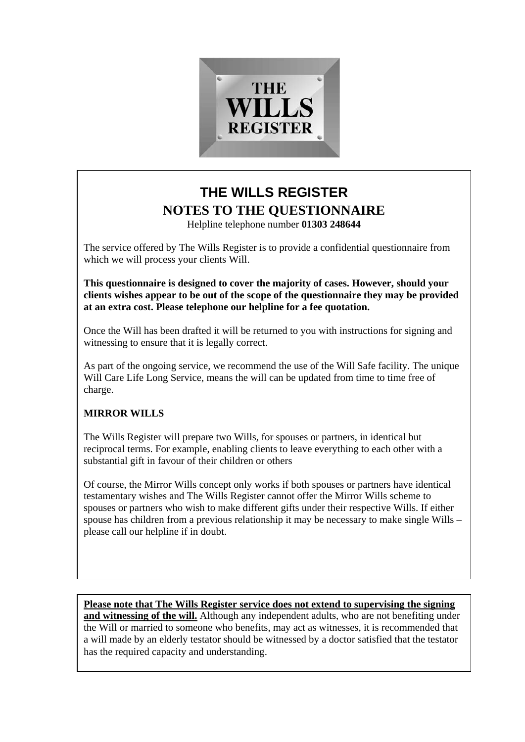

# **THE WILLS REGISTER NOTES TO THE QUESTIONNAIRE**

Helpline telephone number **01303 248644**

The service offered by The Wills Register is to provide a confidential questionnaire from which we will process your clients Will.

**This questionnaire is designed to cover the majority of cases. However, should your clients wishes appear to be out of the scope of the questionnaire they may be provided at an extra cost. Please telephone our helpline for a fee quotation.** 

Once the Will has been drafted it will be returned to you with instructions for signing and witnessing to ensure that it is legally correct.

As part of the ongoing service, we recommend the use of the Will Safe facility. The unique Will Care Life Long Service, means the will can be updated from time to time free of charge.

# **MIRROR WILLS**

The Wills Register will prepare two Wills, for spouses or partners, in identical but reciprocal terms. For example, enabling clients to leave everything to each other with a substantial gift in favour of their children or others

Of course, the Mirror Wills concept only works if both spouses or partners have identical testamentary wishes and The Wills Register cannot offer the Mirror Wills scheme to spouses or partners who wish to make different gifts under their respective Wills. If either spouse has children from a previous relationship it may be necessary to make single Wills – please call our helpline if in doubt.

**Please note that The Wills Register service does not extend to supervising the signing and witnessing of the will.** Although any independent adults, who are not benefiting under the Will or married to someone who benefits, may act as witnesses, it is recommended that a will made by an elderly testator should be witnessed by a doctor satisfied that the testator has the required capacity and understanding.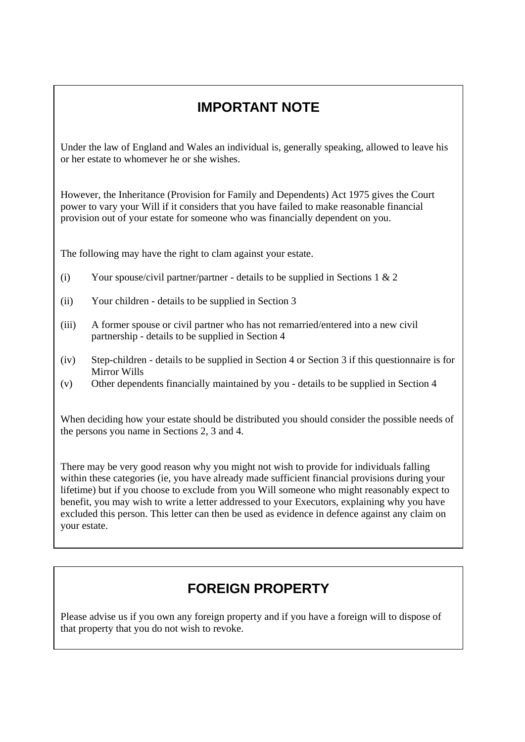# **IMPORTANT NOTE**

Under the law of England and Wales an individual is, generally speaking, allowed to leave his or her estate to whomever he or she wishes.

However, the Inheritance (Provision for Family and Dependents) Act 1975 gives the Court power to vary your Will if it considers that you have failed to make reasonable financial provision out of your estate for someone who was financially dependent on you.

The following may have the right to clam against your estate.

- (i) Your spouse/civil partner/partner details to be supplied in Sections 1  $& 2$
- (ii) Your children details to be supplied in Section 3
- (iii) A former spouse or civil partner who has not remarried/entered into a new civil partnership - details to be supplied in Section 4
- (iv) Step-children details to be supplied in Section 4 or Section 3 if this questionnaire is for Mirror Wills
- (v) Other dependents financially maintained by you details to be supplied in Section 4

When deciding how your estate should be distributed you should consider the possible needs of the persons you name in Sections 2, 3 and 4.

There may be very good reason why you might not wish to provide for individuals falling within these categories (ie, you have already made sufficient financial provisions during your lifetime) but if you choose to exclude from you Will someone who might reasonably expect to benefit, you may wish to write a letter addressed to your Executors, explaining why you have excluded this person. This letter can then be used as evidence in defence against any claim on your estate.

# **FOREIGN PROPERTY**

Please advise us if you own any foreign property and if you have a foreign will to dispose of that property that you do not wish to revoke.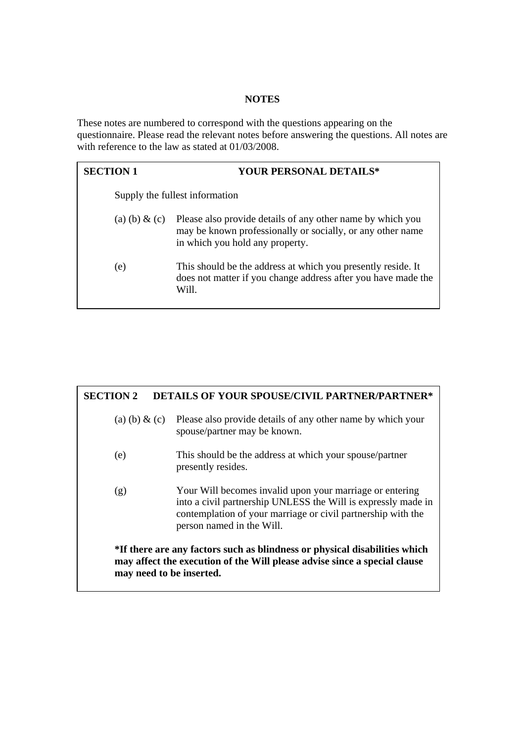## **NOTES**

These notes are numbered to correspond with the questions appearing on the questionnaire. Please read the relevant notes before answering the questions. All notes are with reference to the law as stated at 01/03/2008.

| <b>SECTION 1</b> | <b>YOUR PERSONAL DETAILS*</b>                                                                                                                               |
|------------------|-------------------------------------------------------------------------------------------------------------------------------------------------------------|
|                  | Supply the fullest information                                                                                                                              |
| (a) (b) $\&$ (c) | Please also provide details of any other name by which you<br>may be known professionally or socially, or any other name<br>in which you hold any property. |
| (e)              | This should be the address at which you presently reside. It<br>does not matter if you change address after you have made the<br>Will.                      |

# **SECTION 2 DETAILS OF YOUR SPOUSE/CIVIL PARTNER/PARTNER\***  (a) (b)  $\&$  (c) Please also provide details of any other name by which your spouse/partner may be known. (e) This should be the address at which your spouse/partner presently resides. (g) Your Will becomes invalid upon your marriage or entering into a civil partnership UNLESS the Will is expressly made in contemplation of your marriage or civil partnership with the person named in the Will. **\*If there are any factors such as blindness or physical disabilities which may affect the execution of the Will please advise since a special clause may need to be inserted.**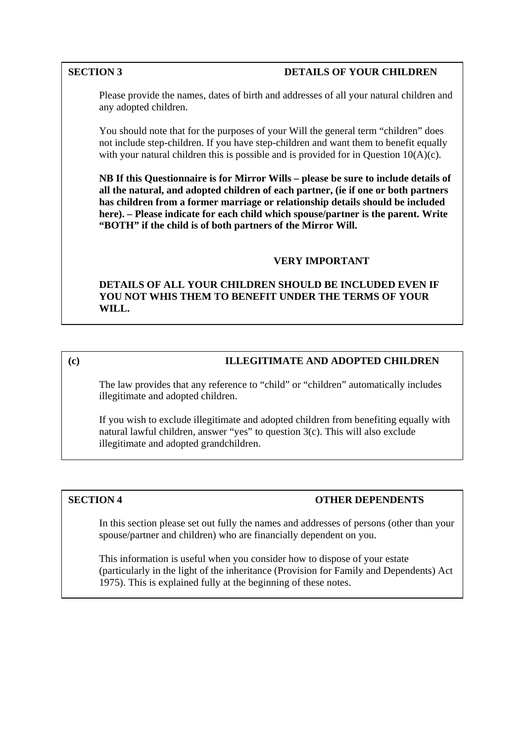# **SECTION 3** DETAILS OF YOUR CHILDREN

 Please provide the names, dates of birth and addresses of all your natural children and any adopted children.

You should note that for the purposes of your Will the general term "children" does not include step-children. If you have step-children and want them to benefit equally with your natural children this is possible and is provided for in Question  $10(A)(c)$ .

**NB If this Questionnaire is for Mirror Wills – please be sure to include details of all the natural, and adopted children of each partner, (ie if one or both partners has children from a former marriage or relationship details should be included here). – Please indicate for each child which spouse/partner is the parent. Write "BOTH" if the child is of both partners of the Mirror Will.** 

# **VERY IMPORTANT**

 **DETAILS OF ALL YOUR CHILDREN SHOULD BE INCLUDED EVEN IF YOU NOT WHIS THEM TO BENEFIT UNDER THE TERMS OF YOUR WILL.** 

# **(c) ILLEGITIMATE AND ADOPTED CHILDREN**

The law provides that any reference to "child" or "children" automatically includes illegitimate and adopted children.

If you wish to exclude illegitimate and adopted children from benefiting equally with natural lawful children, answer "yes" to question 3(c). This will also exclude illegitimate and adopted grandchildren.

# **SECTION 4 OTHER DEPENDENTS**

In this section please set out fully the names and addresses of persons (other than your spouse/partner and children) who are financially dependent on you.

This information is useful when you consider how to dispose of your estate (particularly in the light of the inheritance (Provision for Family and Dependents) Act 1975). This is explained fully at the beginning of these notes.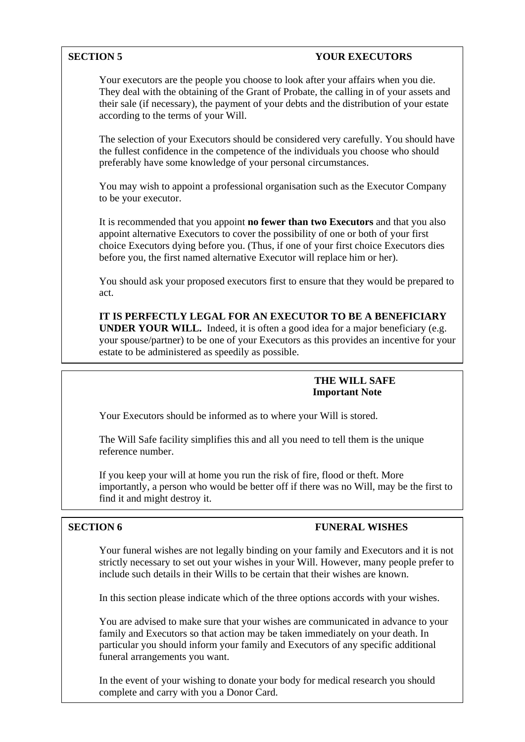## **SECTION 5** YOUR EXECUTORS

Your executors are the people you choose to look after your affairs when you die. They deal with the obtaining of the Grant of Probate, the calling in of your assets and their sale (if necessary), the payment of your debts and the distribution of your estate according to the terms of your Will.

The selection of your Executors should be considered very carefully. You should have the fullest confidence in the competence of the individuals you choose who should preferably have some knowledge of your personal circumstances.

You may wish to appoint a professional organisation such as the Executor Company to be your executor.

It is recommended that you appoint **no fewer than two Executors** and that you also appoint alternative Executors to cover the possibility of one or both of your first choice Executors dying before you. (Thus, if one of your first choice Executors dies before you, the first named alternative Executor will replace him or her).

You should ask your proposed executors first to ensure that they would be prepared to act.

**IT IS PERFECTLY LEGAL FOR AN EXECUTOR TO BE A BENEFICIARY UNDER YOUR WILL.** Indeed, it is often a good idea for a major beneficiary (e.g. your spouse/partner) to be one of your Executors as this provides an incentive for your estate to be administered as speedily as possible.

## **THE WILL SAFE Important Note**

Your Executors should be informed as to where your Will is stored.

The Will Safe facility simplifies this and all you need to tell them is the unique reference number.

If you keep your will at home you run the risk of fire, flood or theft. More importantly, a person who would be better off if there was no Will, may be the first to find it and might destroy it.

# **SECTION 6** FUNERAL WISHES

 Your funeral wishes are not legally binding on your family and Executors and it is not strictly necessary to set out your wishes in your Will. However, many people prefer to include such details in their Wills to be certain that their wishes are known.

In this section please indicate which of the three options accords with your wishes.

You are advised to make sure that your wishes are communicated in advance to your family and Executors so that action may be taken immediately on your death. In particular you should inform your family and Executors of any specific additional funeral arrangements you want.

In the event of your wishing to donate your body for medical research you should complete and carry with you a Donor Card.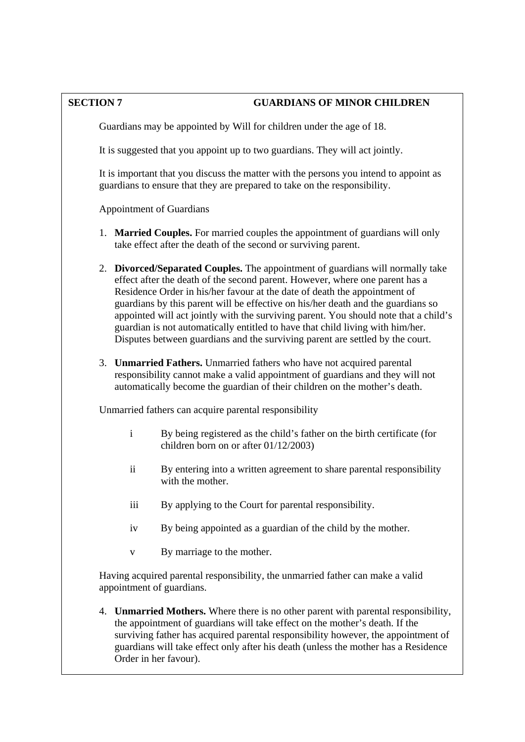# **SECTION 7 GUARDIANS OF MINOR CHILDREN**

Guardians may be appointed by Will for children under the age of 18.

It is suggested that you appoint up to two guardians. They will act jointly.

It is important that you discuss the matter with the persons you intend to appoint as guardians to ensure that they are prepared to take on the responsibility.

Appointment of Guardians

- 1. **Married Couples.** For married couples the appointment of guardians will only take effect after the death of the second or surviving parent.
- 2. **Divorced/Separated Couples.** The appointment of guardians will normally take effect after the death of the second parent. However, where one parent has a Residence Order in his/her favour at the date of death the appointment of guardians by this parent will be effective on his/her death and the guardians so appointed will act jointly with the surviving parent. You should note that a child's guardian is not automatically entitled to have that child living with him/her. Disputes between guardians and the surviving parent are settled by the court.
- 3. **Unmarried Fathers.** Unmarried fathers who have not acquired parental responsibility cannot make a valid appointment of guardians and they will not automatically become the guardian of their children on the mother's death.

Unmarried fathers can acquire parental responsibility

- i By being registered as the child's father on the birth certificate (for children born on or after 01/12/2003)
- ii By entering into a written agreement to share parental responsibility with the mother.
- iii By applying to the Court for parental responsibility.
- iv By being appointed as a guardian of the child by the mother.
- v By marriage to the mother.

Having acquired parental responsibility, the unmarried father can make a valid appointment of guardians.

4. **Unmarried Mothers.** Where there is no other parent with parental responsibility, the appointment of guardians will take effect on the mother's death. If the surviving father has acquired parental responsibility however, the appointment of guardians will take effect only after his death (unless the mother has a Residence Order in her favour).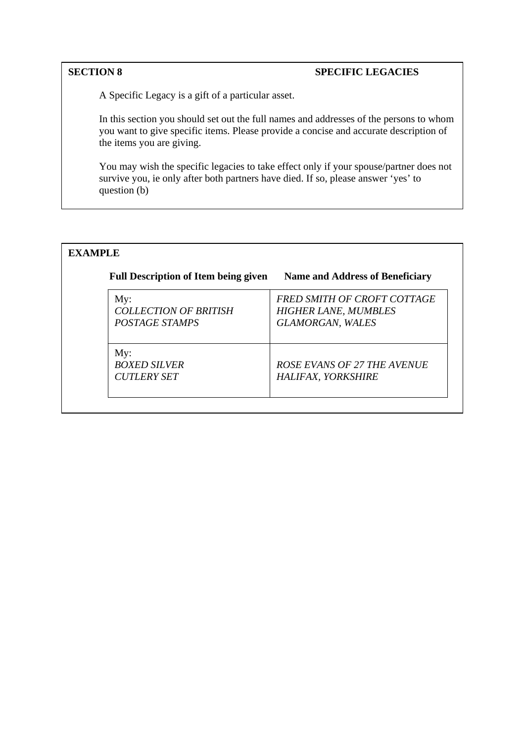# **SECTION 8** SPECIFIC LEGACIES

A Specific Legacy is a gift of a particular asset.

In this section you should set out the full names and addresses of the persons to whom you want to give specific items. Please provide a concise and accurate description of the items you are giving.

You may wish the specific legacies to take effect only if your spouse/partner does not survive you, ie only after both partners have died. If so, please answer 'yes' to question (b)

# **EXAMPLE**

| <b>Full Description of Item being given</b>           | <b>Name and Address of Beneficiary</b>                                                |
|-------------------------------------------------------|---------------------------------------------------------------------------------------|
| My:<br><b>COLLECTION OF BRITISH</b><br>POSTAGE STAMPS | FRED SMITH OF CROFT COTTAGE<br><b>HIGHER LANE, MUMBLES</b><br><b>GLAMORGAN, WALES</b> |
| My:<br><b>BOXED SILVER</b><br><b>CUTLERY SET</b>      | ROSE EVANS OF 27 THE AVENUE<br>HALIFAX, YORKSHIRE                                     |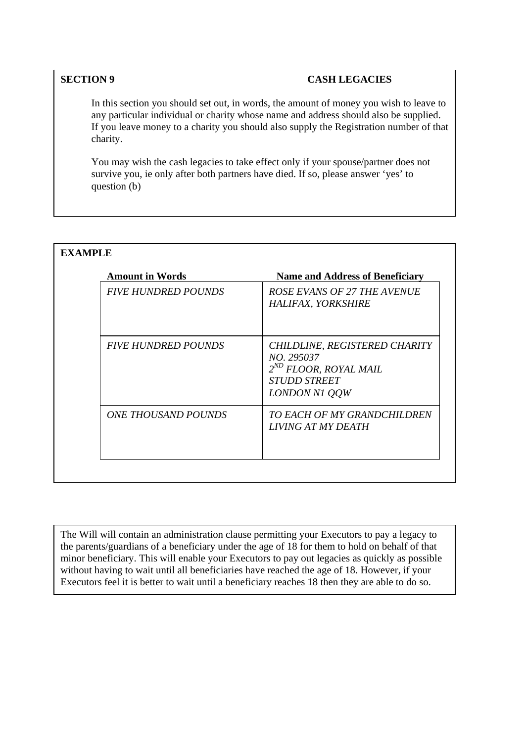# **SECTION 9 CASH LEGACIES**

In this section you should set out, in words, the amount of money you wish to leave to any particular individual or charity whose name and address should also be supplied. If you leave money to a charity you should also supply the Registration number of that charity.

You may wish the cash legacies to take effect only if your spouse/partner does not survive you, ie only after both partners have died. If so, please answer 'yes' to question (b)

| <b>Amount in Words</b>            | <b>Name and Address of Beneficiary</b>                                                                                          |  |
|-----------------------------------|---------------------------------------------------------------------------------------------------------------------------------|--|
| <b>FIVE HUNDRED POUNDS</b>        | ROSE EVANS OF 27 THE AVENUE<br>HALIFAX, YORKSHIRE                                                                               |  |
| <b>FIVE HUNDRED POUNDS</b>        | CHILDLINE, REGISTERED CHARITY<br>NO. 295037<br>2 <sup>ND</sup> FLOOR, ROYAL MAIL<br><i><b>STUDD STREET</b></i><br>LONDON N1 QQW |  |
| <i><b>ONE THOUSAND POUNDS</b></i> | TO EACH OF MY GRANDCHILDREN<br><i>LIVING AT MY DEATH</i>                                                                        |  |

The Will will contain an administration clause permitting your Executors to pay a legacy to the parents/guardians of a beneficiary under the age of 18 for them to hold on behalf of that minor beneficiary. This will enable your Executors to pay out legacies as quickly as possible without having to wait until all beneficiaries have reached the age of 18. However, if your Executors feel it is better to wait until a beneficiary reaches 18 then they are able to do so.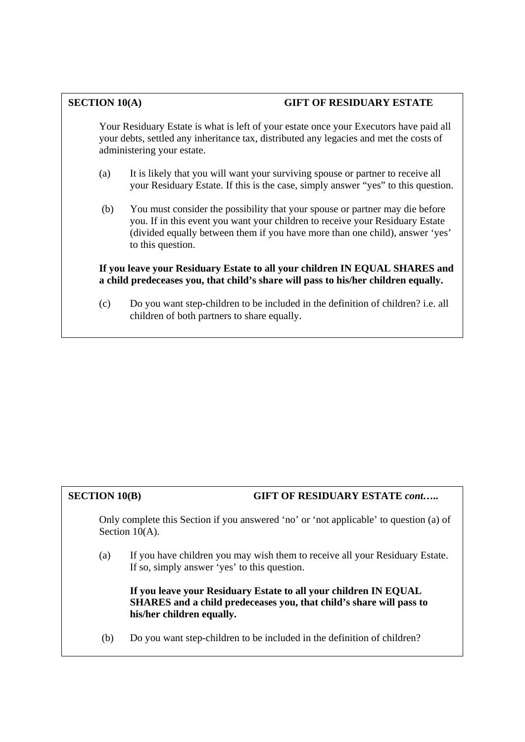# **SECTION 10(A) GIFT OF RESIDUARY ESTATE**

Your Residuary Estate is what is left of your estate once your Executors have paid all your debts, settled any inheritance tax, distributed any legacies and met the costs of administering your estate.

- (a) It is likely that you will want your surviving spouse or partner to receive all your Residuary Estate. If this is the case, simply answer "yes" to this question.
- (b) You must consider the possibility that your spouse or partner may die before you. If in this event you want your children to receive your Residuary Estate (divided equally between them if you have more than one child), answer 'yes' to this question.

**If you leave your Residuary Estate to all your children IN EQUAL SHARES and a child predeceases you, that child's share will pass to his/her children equally.** 

(c) Do you want step-children to be included in the definition of children? i.e. all children of both partners to share equally.

# **SECTION 10(B) GIFT OF RESIDUARY ESTATE** *cont*…..

Only complete this Section if you answered 'no' or 'not applicable' to question (a) of Section 10(A).

(a) If you have children you may wish them to receive all your Residuary Estate. If so, simply answer 'yes' to this question.

**If you leave your Residuary Estate to all your children IN EQUAL SHARES and a child predeceases you, that child's share will pass to his/her children equally.** 

(b) Do you want step-children to be included in the definition of children?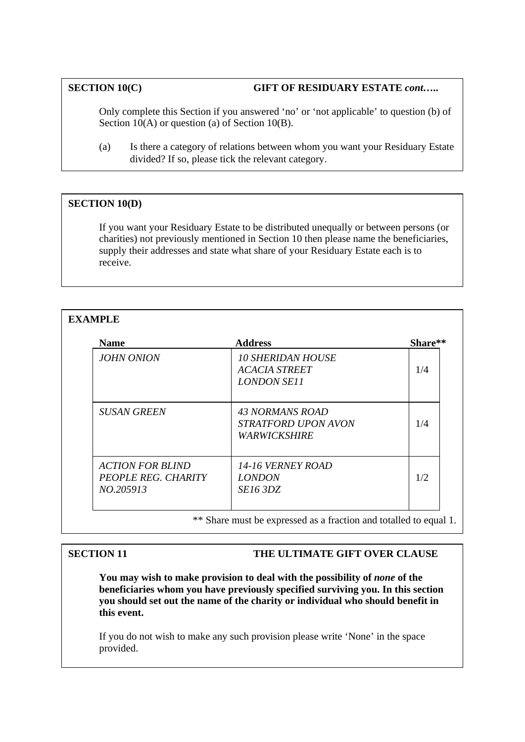# **SECTION 10(C) GIFT OF RESIDUARY ESTATE** *cont***…..**

Only complete this Section if you answered 'no' or 'not applicable' to question (b) of Section 10(A) or question (a) of Section 10(B).

(a) Is there a category of relations between whom you want your Residuary Estate divided? If so, please tick the relevant category.

# **SECTION 10(D)**

If you want your Residuary Estate to be distributed unequally or between persons (or charities) not previously mentioned in Section 10 then please name the beneficiaries, supply their addresses and state what share of your Residuary Estate each is to receive.

# **EXAMPLE**

| <b>Name</b>                                                 | <b>Address</b>                                                         | Share** |
|-------------------------------------------------------------|------------------------------------------------------------------------|---------|
| <b>JOHN ONION</b>                                           | <b>10 SHERIDAN HOUSE</b><br><b>ACACIA STREET</b><br><b>LONDON SE11</b> | 1/4     |
| <b>SUSAN GREEN</b>                                          | 43 NORMANS ROAD<br>STRATFORD UPON AVON<br><b><i>WARWICKSHIRE</i></b>   | 1/4     |
| <b>ACTION FOR BLIND</b><br>PEOPLE REG. CHARITY<br>NO.205913 | <i>14-16 VERNEY ROAD</i><br><i>LONDON</i><br><i>SE16 3DZ</i>           | 1/2     |

\*\* Share must be expressed as a fraction and totalled to equal 1.

# **SECTION 11** THE ULTIMATE GIFT OVER CLAUSE

You may wish to make provision to deal with the possibility of *none* of the **beneficiaries whom you have previously specified surviving you. In this section you should set out the name of the charity or individual who should benefit in this event.** 

If you do not wish to make any such provision please write 'None' in the space provided.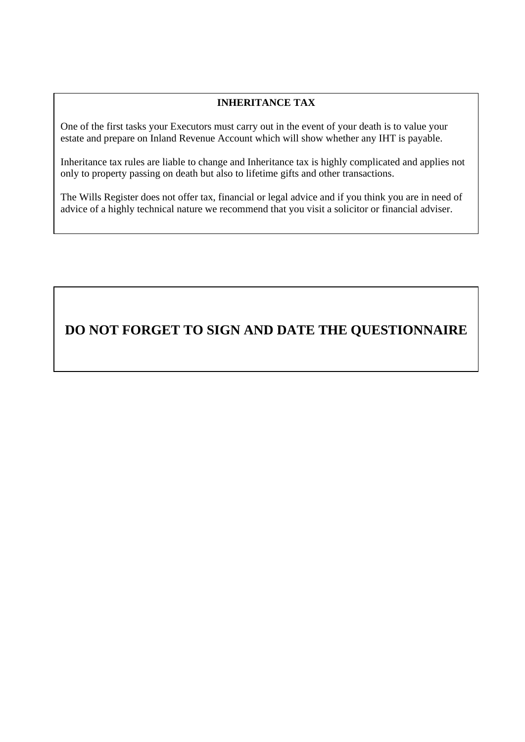# **INHERITANCE TAX**

One of the first tasks your Executors must carry out in the event of your death is to value your estate and prepare on Inland Revenue Account which will show whether any IHT is payable.

Inheritance tax rules are liable to change and Inheritance tax is highly complicated and applies not only to property passing on death but also to lifetime gifts and other transactions.

The Wills Register does not offer tax, financial or legal advice and if you think you are in need of advice of a highly technical nature we recommend that you visit a solicitor or financial adviser.

# **DO NOT FORGET TO SIGN AND DATE THE QUESTIONNAIRE**